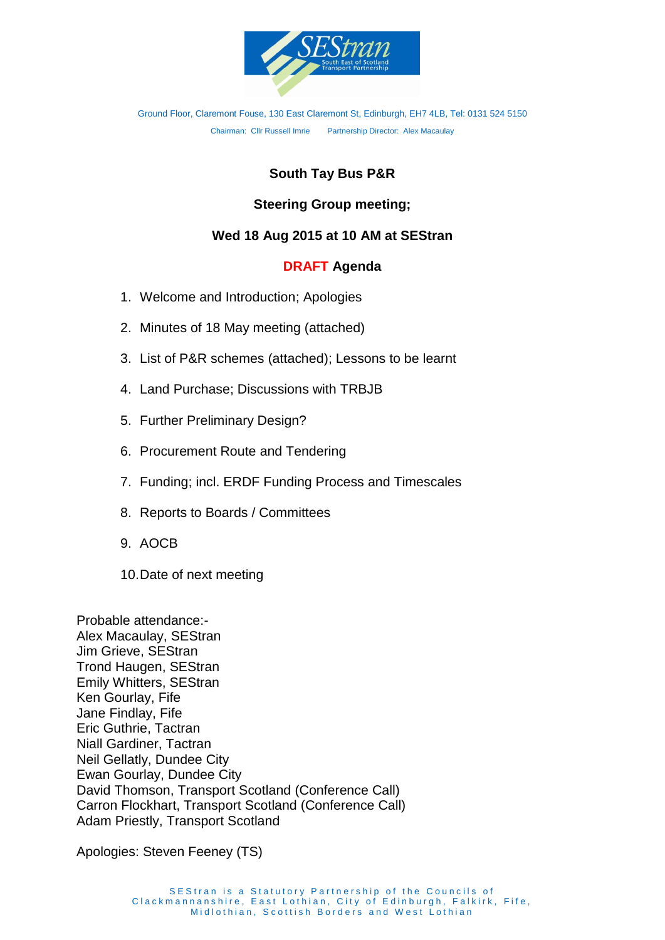

Ground Floor, Claremont Fouse, 130 East Claremont St, Edinburgh, EH7 4LB, Tel: 0131 524 5150 Chairman: Cllr Russell Imrie Partnership Director: Alex Macaulay

# **South Tay Bus P&R**

## **Steering Group meeting;**

### **Wed 18 Aug 2015 at 10 AM at SEStran**

#### **DRAFT Agenda**

- 1. Welcome and Introduction; Apologies
- 2. Minutes of 18 May meeting (attached)
- 3. List of P&R schemes (attached); Lessons to be learnt
- 4. Land Purchase; Discussions with TRBJB
- 5. Further Preliminary Design?
- 6. Procurement Route and Tendering
- 7. Funding; incl. ERDF Funding Process and Timescales
- 8. Reports to Boards / Committees
- 9. AOCB
- 10.Date of next meeting

Probable attendance:- Alex Macaulay, SEStran Jim Grieve, SEStran Trond Haugen, SEStran Emily Whitters, SEStran Ken Gourlay, Fife Jane Findlay, Fife Eric Guthrie, Tactran Niall Gardiner, Tactran Neil Gellatly, Dundee City Ewan Gourlay, Dundee City David Thomson, Transport Scotland (Conference Call) Carron Flockhart, Transport Scotland (Conference Call) Adam Priestly, Transport Scotland

Apologies: Steven Feeney (TS)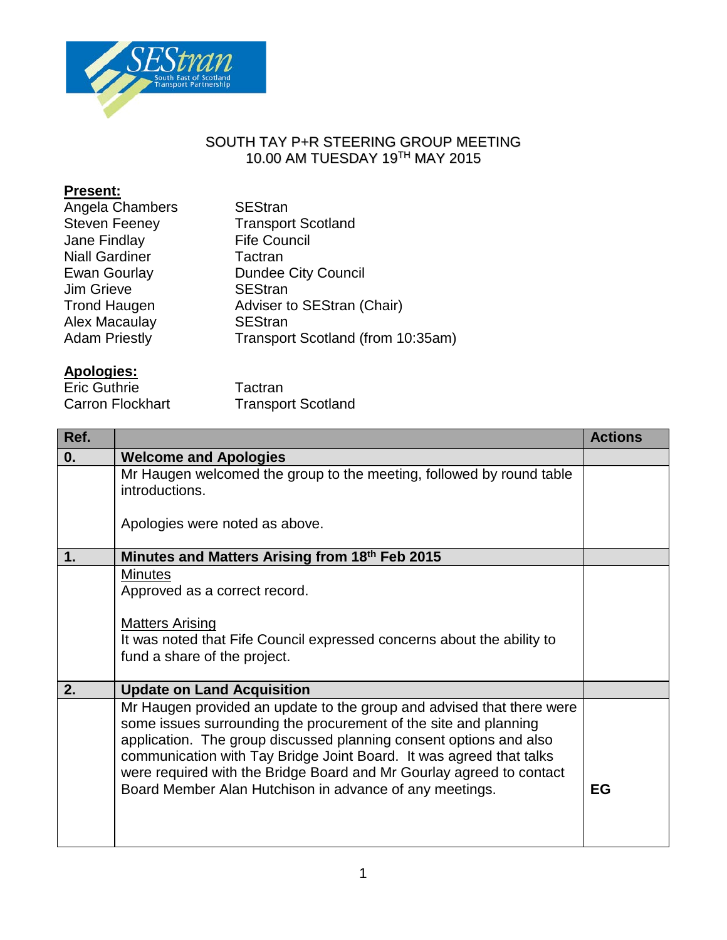

## SOUTH TAY P+R STEERING GROUP MEETING 10.00 AM TUESDAY 19TH MAY 2015

## **Present:**

| Angela Chambers       | <b>SEStran</b>                    |
|-----------------------|-----------------------------------|
| <b>Steven Feeney</b>  | <b>Transport Scotland</b>         |
| Jane Findlay          | <b>Fife Council</b>               |
| <b>Niall Gardiner</b> | Tactran                           |
| Ewan Gourlay          | <b>Dundee City Council</b>        |
| Jim Grieve            | <b>SEStran</b>                    |
| <b>Trond Haugen</b>   | Adviser to SEStran (Chair)        |
| Alex Macaulay         | <b>SEStran</b>                    |
| <b>Adam Priestly</b>  | Transport Scotland (from 10:35am) |
|                       |                                   |

## **Apologies:**

| <b>Eric Guthrie</b> |                         |
|---------------------|-------------------------|
|                     | <b>Carron Flockhart</b> |

Tactran **Transport Scotland** 

| Ref. |                                                                                                                                                                                                                                                                                                                                                                                                                           | <b>Actions</b> |
|------|---------------------------------------------------------------------------------------------------------------------------------------------------------------------------------------------------------------------------------------------------------------------------------------------------------------------------------------------------------------------------------------------------------------------------|----------------|
| 0.   | <b>Welcome and Apologies</b>                                                                                                                                                                                                                                                                                                                                                                                              |                |
|      | Mr Haugen welcomed the group to the meeting, followed by round table<br>introductions.                                                                                                                                                                                                                                                                                                                                    |                |
|      | Apologies were noted as above.                                                                                                                                                                                                                                                                                                                                                                                            |                |
| 1.   | Minutes and Matters Arising from 18th Feb 2015                                                                                                                                                                                                                                                                                                                                                                            |                |
|      | <b>Minutes</b><br>Approved as a correct record.<br><b>Matters Arising</b>                                                                                                                                                                                                                                                                                                                                                 |                |
|      | It was noted that Fife Council expressed concerns about the ability to<br>fund a share of the project.                                                                                                                                                                                                                                                                                                                    |                |
| 2.   | <b>Update on Land Acquisition</b>                                                                                                                                                                                                                                                                                                                                                                                         |                |
|      | Mr Haugen provided an update to the group and advised that there were<br>some issues surrounding the procurement of the site and planning<br>application. The group discussed planning consent options and also<br>communication with Tay Bridge Joint Board. It was agreed that talks<br>were required with the Bridge Board and Mr Gourlay agreed to contact<br>Board Member Alan Hutchison in advance of any meetings. | EG             |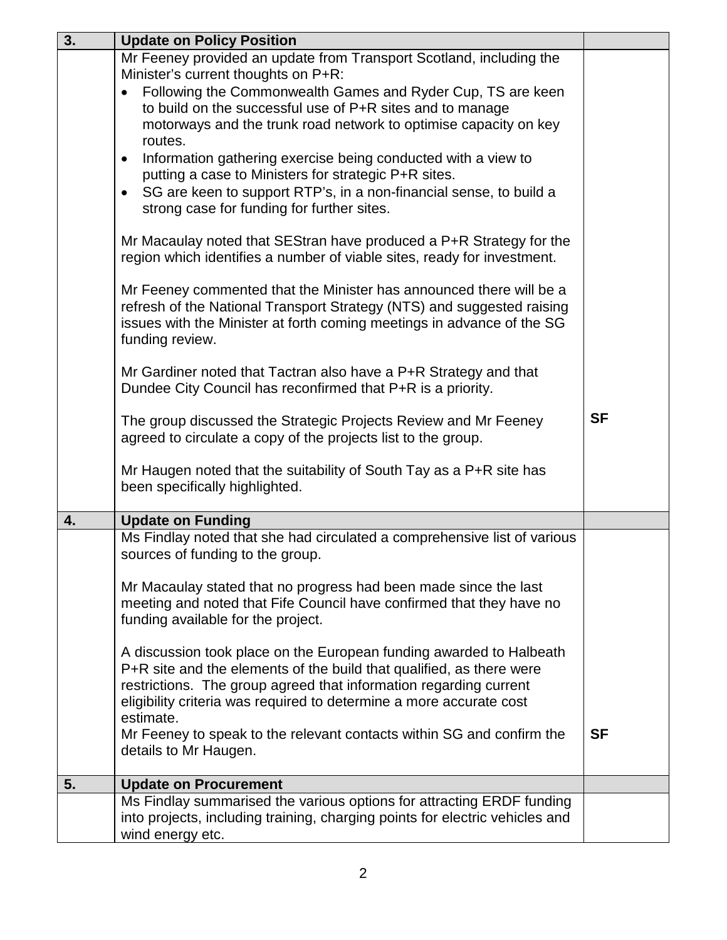| 3. | <b>Update on Policy Position</b>                                                                                                                 |           |  |  |  |
|----|--------------------------------------------------------------------------------------------------------------------------------------------------|-----------|--|--|--|
|    | Mr Feeney provided an update from Transport Scotland, including the                                                                              |           |  |  |  |
|    | Minister's current thoughts on P+R:                                                                                                              |           |  |  |  |
|    | Following the Commonwealth Games and Ryder Cup, TS are keen<br>$\bullet$<br>to build on the successful use of P+R sites and to manage            |           |  |  |  |
|    | motorways and the trunk road network to optimise capacity on key                                                                                 |           |  |  |  |
|    | routes.                                                                                                                                          |           |  |  |  |
|    | Information gathering exercise being conducted with a view to<br>$\bullet$                                                                       |           |  |  |  |
|    | putting a case to Ministers for strategic P+R sites.                                                                                             |           |  |  |  |
|    | SG are keen to support RTP's, in a non-financial sense, to build a<br>$\bullet$                                                                  |           |  |  |  |
|    | strong case for funding for further sites.                                                                                                       |           |  |  |  |
|    | Mr Macaulay noted that SEStran have produced a P+R Strategy for the                                                                              |           |  |  |  |
|    | region which identifies a number of viable sites, ready for investment.                                                                          |           |  |  |  |
|    |                                                                                                                                                  |           |  |  |  |
|    | Mr Feeney commented that the Minister has announced there will be a                                                                              |           |  |  |  |
|    | refresh of the National Transport Strategy (NTS) and suggested raising<br>issues with the Minister at forth coming meetings in advance of the SG |           |  |  |  |
|    | funding review.                                                                                                                                  |           |  |  |  |
|    |                                                                                                                                                  |           |  |  |  |
|    | Mr Gardiner noted that Tactran also have a P+R Strategy and that                                                                                 |           |  |  |  |
|    | Dundee City Council has reconfirmed that P+R is a priority.                                                                                      |           |  |  |  |
|    | <b>SF</b><br>The group discussed the Strategic Projects Review and Mr Feeney                                                                     |           |  |  |  |
|    | agreed to circulate a copy of the projects list to the group.                                                                                    |           |  |  |  |
|    |                                                                                                                                                  |           |  |  |  |
|    | Mr Haugen noted that the suitability of South Tay as a P+R site has<br>been specifically highlighted.                                            |           |  |  |  |
|    |                                                                                                                                                  |           |  |  |  |
| 4. | <b>Update on Funding</b>                                                                                                                         |           |  |  |  |
|    | Ms Findlay noted that she had circulated a comprehensive list of various                                                                         |           |  |  |  |
|    | sources of funding to the group.                                                                                                                 |           |  |  |  |
|    | Mr Macaulay stated that no progress had been made since the last                                                                                 |           |  |  |  |
|    | meeting and noted that Fife Council have confirmed that they have no                                                                             |           |  |  |  |
|    | funding available for the project.                                                                                                               |           |  |  |  |
|    |                                                                                                                                                  |           |  |  |  |
|    | A discussion took place on the European funding awarded to Halbeath                                                                              |           |  |  |  |
|    | P+R site and the elements of the build that qualified, as there were<br>restrictions. The group agreed that information regarding current        |           |  |  |  |
|    | eligibility criteria was required to determine a more accurate cost                                                                              |           |  |  |  |
|    | estimate.                                                                                                                                        |           |  |  |  |
|    | Mr Feeney to speak to the relevant contacts within SG and confirm the                                                                            | <b>SF</b> |  |  |  |
|    | details to Mr Haugen.                                                                                                                            |           |  |  |  |
| 5. | <b>Update on Procurement</b>                                                                                                                     |           |  |  |  |
|    | Ms Findlay summarised the various options for attracting ERDF funding                                                                            |           |  |  |  |
|    | into projects, including training, charging points for electric vehicles and                                                                     |           |  |  |  |
|    | wind energy etc.                                                                                                                                 |           |  |  |  |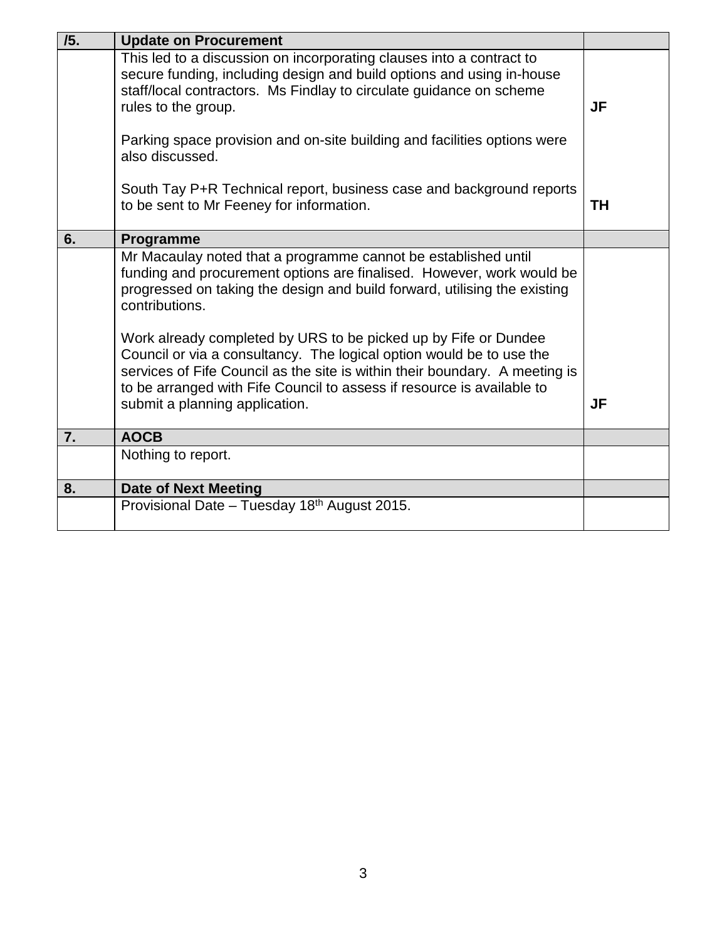| /5. | <b>Update on Procurement</b>                                                                                                                                                                                                                                                                                                                                                                                                                                                                                                                                                 |           |
|-----|------------------------------------------------------------------------------------------------------------------------------------------------------------------------------------------------------------------------------------------------------------------------------------------------------------------------------------------------------------------------------------------------------------------------------------------------------------------------------------------------------------------------------------------------------------------------------|-----------|
|     | This led to a discussion on incorporating clauses into a contract to<br>secure funding, including design and build options and using in-house<br>staff/local contractors. Ms Findlay to circulate guidance on scheme<br>rules to the group.                                                                                                                                                                                                                                                                                                                                  | <b>JF</b> |
|     | Parking space provision and on-site building and facilities options were<br>also discussed.                                                                                                                                                                                                                                                                                                                                                                                                                                                                                  |           |
|     | South Tay P+R Technical report, business case and background reports<br>to be sent to Mr Feeney for information.                                                                                                                                                                                                                                                                                                                                                                                                                                                             | <b>TH</b> |
| 6.  | Programme                                                                                                                                                                                                                                                                                                                                                                                                                                                                                                                                                                    |           |
|     | Mr Macaulay noted that a programme cannot be established until<br>funding and procurement options are finalised. However, work would be<br>progressed on taking the design and build forward, utilising the existing<br>contributions.<br>Work already completed by URS to be picked up by Fife or Dundee<br>Council or via a consultancy. The logical option would be to use the<br>services of Fife Council as the site is within their boundary. A meeting is<br>to be arranged with Fife Council to assess if resource is available to<br>submit a planning application. | <b>JF</b> |
| 7.  | <b>AOCB</b>                                                                                                                                                                                                                                                                                                                                                                                                                                                                                                                                                                  |           |
|     | Nothing to report.                                                                                                                                                                                                                                                                                                                                                                                                                                                                                                                                                           |           |
| 8.  | <b>Date of Next Meeting</b>                                                                                                                                                                                                                                                                                                                                                                                                                                                                                                                                                  |           |
|     | Provisional Date - Tuesday 18th August 2015.                                                                                                                                                                                                                                                                                                                                                                                                                                                                                                                                 |           |